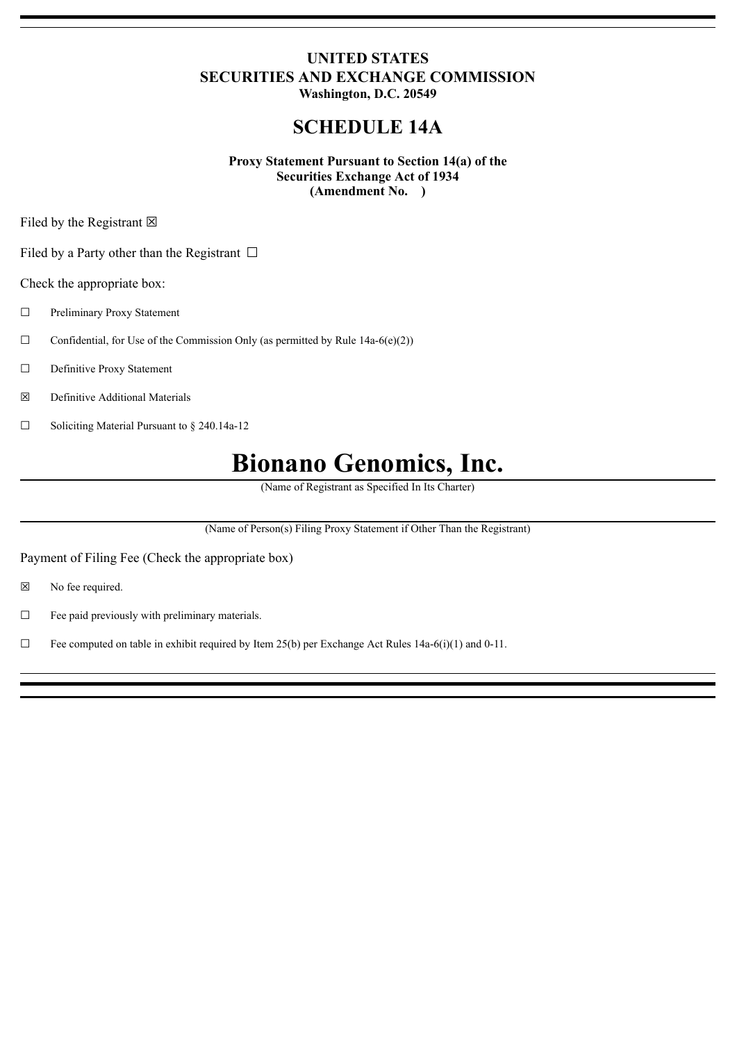## **UNITED STATES SECURITIES AND EXCHANGE COMMISSION Washington, D.C. 20549**

# **SCHEDULE 14A**

**Proxy Statement Pursuant to Section 14(a) of the Securities Exchange Act of 1934 (Amendment No. )**

Filed by the Registrant  $\boxtimes$ 

Filed by a Party other than the Registrant  $\Box$ 

Check the appropriate box:

☐ Preliminary Proxy Statement

 $\Box$  Confidential, for Use of the Commission Only (as permitted by Rule 14a-6(e)(2))

☐ Definitive Proxy Statement

☒ Definitive Additional Materials

☐ Soliciting Material Pursuant to § 240.14a-12

# **Bionano Genomics, Inc.**

(Name of Registrant as Specified In Its Charter)

(Name of Person(s) Filing Proxy Statement if Other Than the Registrant)

Payment of Filing Fee (Check the appropriate box)

☒ No fee required.

 $\Box$  Fee paid previously with preliminary materials.

 $\Box$  Fee computed on table in exhibit required by Item 25(b) per Exchange Act Rules 14a-6(i)(1) and 0-11.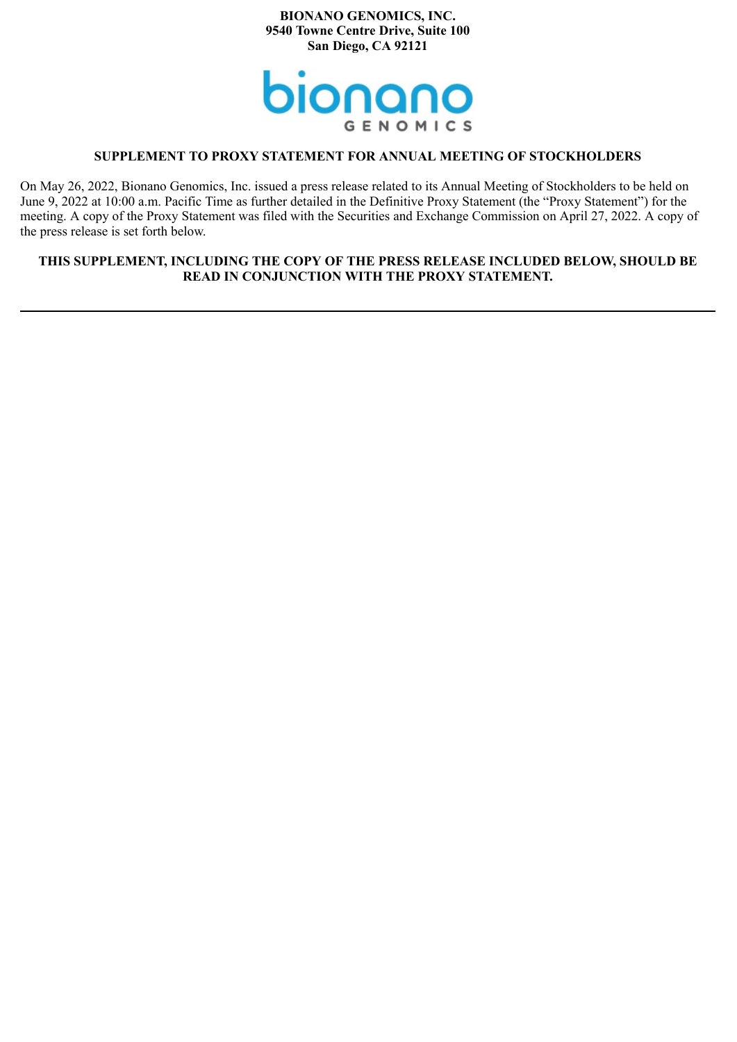#### **BIONANO GENOMICS, INC. 9540 Towne Centre Drive, Suite 100 San Diego, CA 92121**



### **SUPPLEMENT TO PROXY STATEMENT FOR ANNUAL MEETING OF STOCKHOLDERS**

On May 26, 2022, Bionano Genomics, Inc. issued a press release related to its Annual Meeting of Stockholders to be held on June 9, 2022 at 10:00 a.m. Pacific Time as further detailed in the Definitive Proxy Statement (the "Proxy Statement") for the meeting. A copy of the Proxy Statement was filed with the Securities and Exchange Commission on April 27, 2022. A copy of the press release is set forth below.

#### **THIS SUPPLEMENT, INCLUDING THE COPY OF THE PRESS RELEASE INCLUDED BELOW, SHOULD BE READ IN CONJUNCTION WITH THE PROXY STATEMENT.**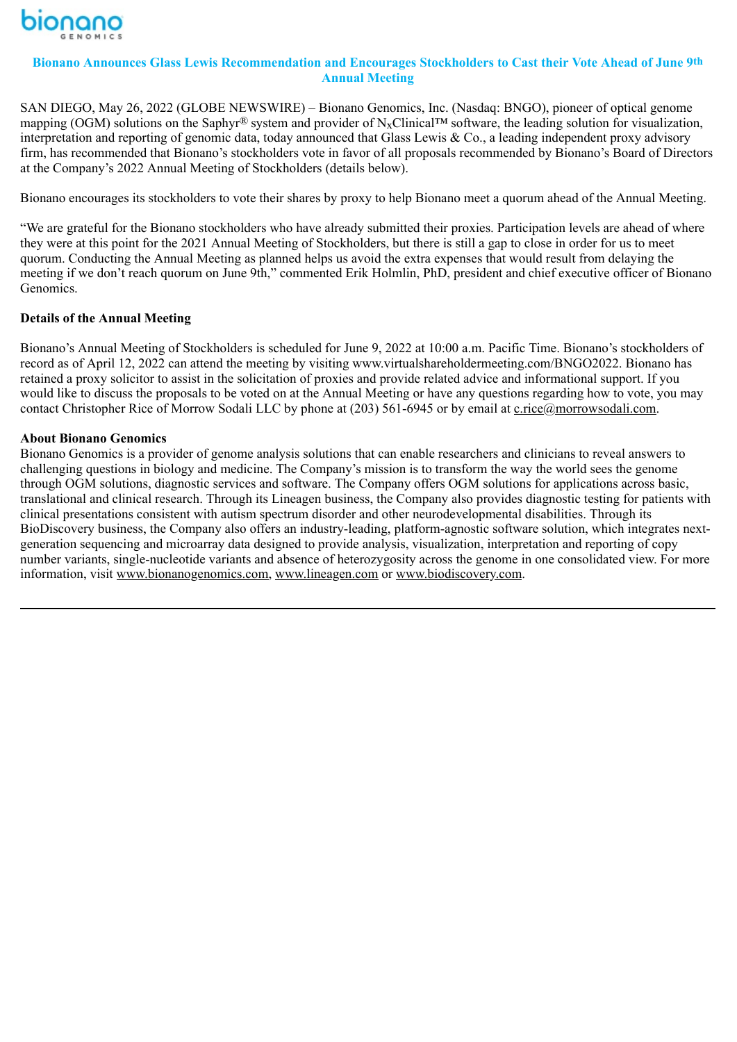

#### **Bionano Announces Glass Lewis Recommendation and Encourages Stockholders to Cast their Vote Ahead of June 9th Annual Meeting**

SAN DIEGO, May 26, 2022 (GLOBE NEWSWIRE) – Bionano Genomics, Inc. (Nasdaq: BNGO), pioneer of optical genome mapping (OGM) solutions on the Saphyr® system and provider of N<sub>x</sub>Clinical™ software, the leading solution for visualization, interpretation and reporting of genomic data, today announced that Glass Lewis & Co., a leading independent proxy advisory firm, has recommended that Bionano's stockholders vote in favor of all proposals recommended by Bionano's Board of Directors at the Company's 2022 Annual Meeting of Stockholders (details below).

Bionano encourages its stockholders to vote their shares by proxy to help Bionano meet a quorum ahead of the Annual Meeting.

"We are grateful for the Bionano stockholders who have already submitted their proxies. Participation levels are ahead of where they were at this point for the 2021 Annual Meeting of Stockholders, but there is still a gap to close in order for us to meet quorum. Conducting the Annual Meeting as planned helps us avoid the extra expenses that would result from delaying the meeting if we don't reach quorum on June 9th," commented Erik Holmlin, PhD, president and chief executive officer of Bionano Genomics.

#### **Details of the Annual Meeting**

Bionano's Annual Meeting of Stockholders is scheduled for June 9, 2022 at 10:00 a.m. Pacific Time. Bionano's stockholders of record as of April 12, 2022 can attend the meeting by visiting www.virtualshareholdermeeting.com/BNGO2022. Bionano has retained a proxy solicitor to assist in the solicitation of proxies and provide related advice and informational support. If you would like to discuss the proposals to be voted on at the Annual Meeting or have any questions regarding how to vote, you may contact Christopher Rice of Morrow Sodali LLC by phone at (203) 561-6945 or by email at c.rice@morrowsodali.com.

#### **About Bionano Genomics**

Bionano Genomics is a provider of genome analysis solutions that can enable researchers and clinicians to reveal answers to challenging questions in biology and medicine. The Company's mission is to transform the way the world sees the genome through OGM solutions, diagnostic services and software. The Company offers OGM solutions for applications across basic, translational and clinical research. Through its Lineagen business, the Company also provides diagnostic testing for patients with clinical presentations consistent with autism spectrum disorder and other neurodevelopmental disabilities. Through its BioDiscovery business, the Company also offers an industry-leading, platform-agnostic software solution, which integrates nextgeneration sequencing and microarray data designed to provide analysis, visualization, interpretation and reporting of copy number variants, single-nucleotide variants and absence of heterozygosity across the genome in one consolidated view. For more information, visit www.bionanogenomics.com, www.lineagen.com or www.biodiscovery.com.